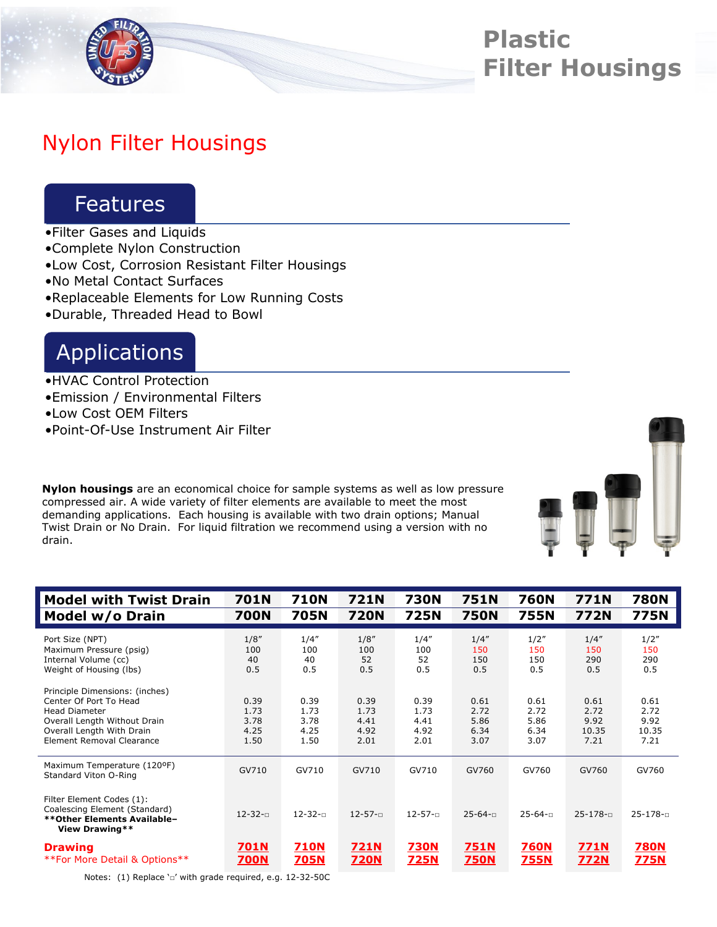

# **Plastic Filter Housings**

## Nylon Filter Housings

### Features

- •Filter Gases and Liquids
- •Complete Nylon Construction
- •Low Cost, Corrosion Resistant Filter Housings
- •No Metal Contact Surfaces
- •Replaceable Elements for Low Running Costs
- •Durable, Threaded Head to Bowl

### Applications

- •HVAC Control Protection
- •Emission / Environmental Filters
- •Low Cost OEM Filters
- •Point-Of-Use Instrument Air Filter

**Nylon housings** are an economical choice for sample systems as well as low pressure compressed air. A wide variety of filter elements are available to meet the most demanding applications. Each housing is available with two drain options; Manual Twist Drain or No Drain. For liquid filtration we recommend using a version with no drain.



| <b>Model with Twist Drain</b>                                                                                                                                              | 701N                                 | <b>710N</b>                          | 721N                                 | <b>730N</b>                          | 751N                                 | 760N                                 | 771N                                  | <b>780N</b>                           |
|----------------------------------------------------------------------------------------------------------------------------------------------------------------------------|--------------------------------------|--------------------------------------|--------------------------------------|--------------------------------------|--------------------------------------|--------------------------------------|---------------------------------------|---------------------------------------|
| Model w/o Drain                                                                                                                                                            | <b>700N</b>                          | 705N                                 | <b>720N</b>                          | <b>725N</b>                          | <b>750N</b>                          | <b>755N</b>                          | <b>772N</b>                           | <b>775N</b>                           |
| Port Size (NPT)<br>Maximum Pressure (psig)<br>Internal Volume (cc)<br>Weight of Housing (lbs)                                                                              | 1/8''<br>100<br>40<br>0.5            | 1/4''<br>100<br>40<br>0.5            | 1/8''<br>100<br>52<br>0.5            | 1/4''<br>100<br>52<br>0.5            | 1/4''<br>150<br>150<br>0.5           | 1/2"<br>150<br>150<br>0.5            | 1/4''<br>150<br>290<br>0.5            | 1/2"<br>150<br>290<br>0.5             |
| Principle Dimensions: (inches)<br>Center Of Port To Head<br><b>Head Diameter</b><br>Overall Length Without Drain<br>Overall Length With Drain<br>Element Removal Clearance | 0.39<br>1.73<br>3.78<br>4.25<br>1.50 | 0.39<br>1.73<br>3.78<br>4.25<br>1.50 | 0.39<br>1.73<br>4.41<br>4.92<br>2.01 | 0.39<br>1.73<br>4.41<br>4.92<br>2.01 | 0.61<br>2.72<br>5.86<br>6.34<br>3.07 | 0.61<br>2.72<br>5.86<br>6.34<br>3.07 | 0.61<br>2.72<br>9.92<br>10.35<br>7.21 | 0.61<br>2.72<br>9.92<br>10.35<br>7.21 |
| Maximum Temperature (120ºF)<br>Standard Viton O-Ring                                                                                                                       | GV710                                | GV710                                | GV710                                | GV710                                | GV760                                | GV760                                | GV760                                 | GV760                                 |
| Filter Element Codes (1):<br>Coalescing Element (Standard)<br>** Other Elements Available-<br>View Drawing**                                                               | $12 - 32 - 1$                        | $12 - 32 - n$                        | $12 - 57 - 1$                        | $12 - 57 - n$                        | $25 - 64 - n$                        | $25 - 64 - n$                        | $25 - 178 - 1$                        | $25 - 178 - n$                        |
| <b>Drawing</b><br>**For More Detail & Options**                                                                                                                            | 701N<br>700N                         | <b>710N</b><br><u>705N</u>           | <b>721N</b><br><b>720N</b>           | <b>730N</b><br>725N                  | 751N<br><b>750N</b>                  | <b>760N</b><br><u>755N</u>           | 771N<br><u>772N</u>                   | <b>780N</b><br>775N                   |

Notes: (1) Replace '□' with grade required, e.g. 12-32-50C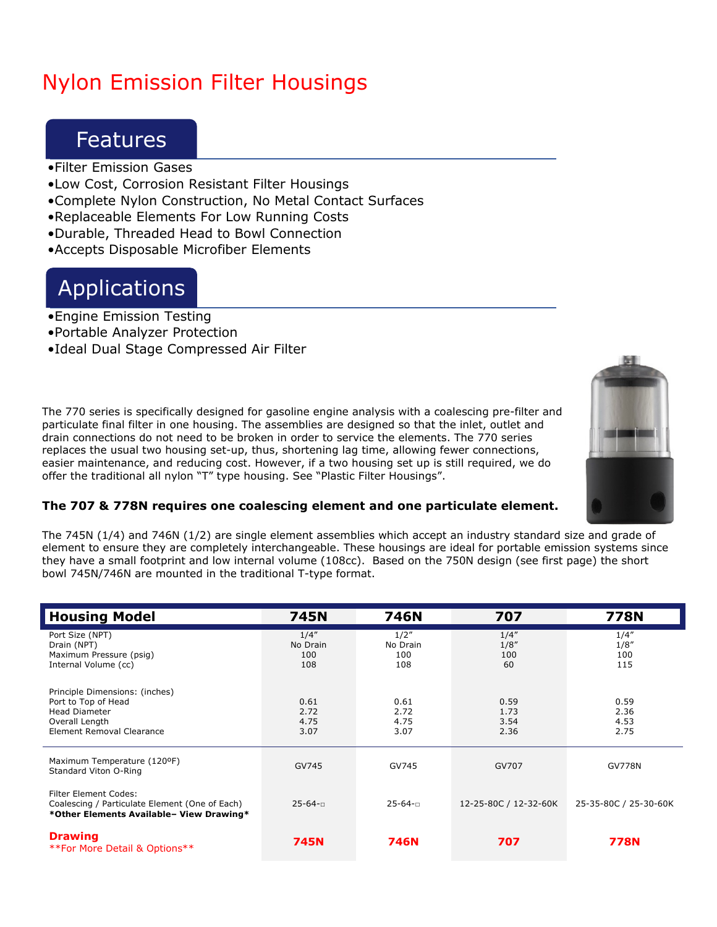# Nylon Emission Filter Housings

#### Features

- •Filter Emission Gases
- •Low Cost, Corrosion Resistant Filter Housings
- •Complete Nylon Construction, No Metal Contact Surfaces
- •Replaceable Elements For Low Running Costs
- •Durable, Threaded Head to Bowl Connection
- •Accepts Disposable Microfiber Elements

### Applications

- •Engine Emission Testing
- •Portable Analyzer Protection
- •Ideal Dual Stage Compressed Air Filter

The 770 series is specifically designed for gasoline engine analysis with a coalescing pre-filter and particulate final filter in one housing. The assemblies are designed so that the inlet, outlet and drain connections do not need to be broken in order to service the elements. The 770 series replaces the usual two housing set-up, thus, shortening lag time, allowing fewer connections, easier maintenance, and reducing cost. However, if a two housing set up is still required, we do offer the traditional all nylon "T" type housing. See "Plastic Filter Housings".



#### **The 707 & 778N requires one coalescing element and one particulate element.**

The 745N (1/4) and 746N (1/2) are single element assemblies which accept an industry standard size and grade of element to ensure they are completely interchangeable. These housings are ideal for portable emission systems since they have a small footprint and low internal volume (108cc). Based on the 750N design (see first page) the short bowl 745N/746N are mounted in the traditional T-type format.

| <b>Housing Model</b>                                                                                                         | <b>745N</b>                     | 746N                           | 707                          | <b>778N</b>                  |  |
|------------------------------------------------------------------------------------------------------------------------------|---------------------------------|--------------------------------|------------------------------|------------------------------|--|
| Port Size (NPT)<br>Drain (NPT)<br>Maximum Pressure (psig)<br>Internal Volume (cc)                                            | 1/4''<br>No Drain<br>100<br>108 | 1/2"<br>No Drain<br>100<br>108 | 1/4''<br>1/8''<br>100<br>60  | 1/4''<br>1/8''<br>100<br>115 |  |
| Principle Dimensions: (inches)<br>Port to Top of Head<br><b>Head Diameter</b><br>Overall Length<br>Element Removal Clearance | 0.61<br>2.72<br>4.75<br>3.07    | 0.61<br>2.72<br>4.75<br>3.07   | 0.59<br>1.73<br>3.54<br>2.36 | 0.59<br>2.36<br>4.53<br>2.75 |  |
| Maximum Temperature (120ºF)<br>Standard Viton O-Ring                                                                         | GV745                           | GV745                          | GV707                        | <b>GV778N</b>                |  |
| <b>Filter Element Codes:</b><br>Coalescing / Particulate Element (One of Each)<br>*Other Elements Available- View Drawing*   | $25 - 64 - n$                   | $25 - 64 - n$                  | 12-25-80C / 12-32-60K        | 25-35-80C / 25-30-60K        |  |
| <b>Drawing</b><br>**For More Detail & Options**                                                                              | <b>745N</b>                     | 746N                           | 707                          | 778N                         |  |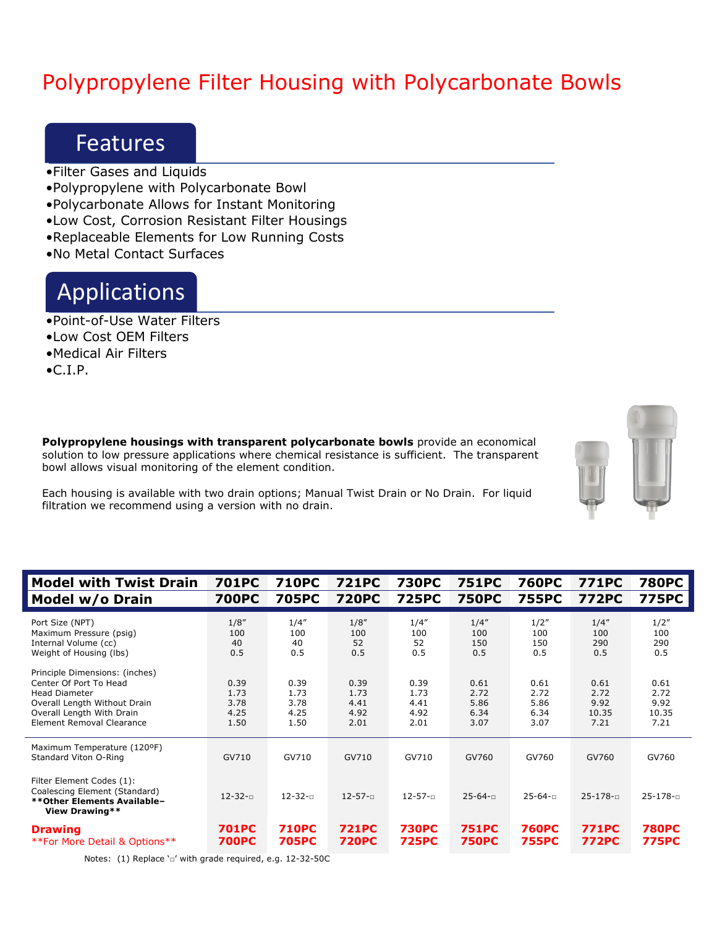# Polypropylene Filter Housing with Polycarbonate Bowls

#### Features

- •Filter Gases and Liquids
- •Polypropylene with Polycarbonate Bowl
- •Polycarbonate Allows for Instant Monitoring
- •Low Cost, Corrosion Resistant Filter Housings
- •Replaceable Elements for Low Running Costs
- •No Metal Contact Surfaces

### Applications

- •Point-of-Use Water Filters
- •Low Cost OEM Filters
- •Medical Air Filters
- $\bullet$ C.I.P.

**Polypropylene housings with transparent polycarbonate bowls** provide an economical solution to low pressure applications where chemical resistance is sufficient. The transparent bowl allows visual monitoring of the element condition.



Each housing is available with two drain options; Manual Twist Drain or No Drain. For liquid filtration we recommend using a version with no drain.

| <b>Model with Twist Drain</b>                                                                                                                                              | <b>701PC</b>                         | <b>710PC</b>                         | <b>721PC</b>                         | <b>730PC</b>                         | <b>751PC</b>                         | <b>760PC</b>                         | <b>771PC</b>                          | <b>780PC</b>                          |
|----------------------------------------------------------------------------------------------------------------------------------------------------------------------------|--------------------------------------|--------------------------------------|--------------------------------------|--------------------------------------|--------------------------------------|--------------------------------------|---------------------------------------|---------------------------------------|
| Model w/o Drain                                                                                                                                                            | <b>700PC</b>                         | <b>705PC</b>                         | <b>720PC</b>                         | <b>725PC</b>                         | <b>750PC</b>                         | <b>755PC</b>                         | <b>772PC</b>                          | <b>775PC</b>                          |
| Port Size (NPT)<br>Maximum Pressure (psig)<br>Internal Volume (cc)<br>Weight of Housing (lbs)                                                                              | 1/8''<br>100<br>40<br>0.5            | 1/4''<br>100<br>40<br>0.5            | 1/8''<br>100<br>52<br>0.5            | 1/4''<br>100<br>52<br>0.5            | 1/4''<br>100<br>150<br>0.5           | 1/2"<br>100<br>150<br>0.5            | 1/4''<br>100<br>290<br>0.5            | 1/2"<br>100<br>290<br>0.5             |
| Principle Dimensions: (inches)<br>Center Of Port To Head<br><b>Head Diameter</b><br>Overall Length Without Drain<br>Overall Length With Drain<br>Element Removal Clearance | 0.39<br>1.73<br>3.78<br>4.25<br>1.50 | 0.39<br>1.73<br>3.78<br>4.25<br>1.50 | 0.39<br>1.73<br>4.41<br>4.92<br>2.01 | 0.39<br>1.73<br>4.41<br>4.92<br>2.01 | 0.61<br>2.72<br>5.86<br>6.34<br>3.07 | 0.61<br>2.72<br>5.86<br>6.34<br>3.07 | 0.61<br>2.72<br>9.92<br>10.35<br>7.21 | 0.61<br>2.72<br>9.92<br>10.35<br>7.21 |
| Maximum Temperature (120ºF)<br>Standard Viton O-Ring                                                                                                                       | GV710                                | GV710                                | GV710                                | GV710                                | GV760                                | GV760                                | GV760                                 | GV760                                 |
| Filter Element Codes (1):<br>Coalescing Element (Standard)<br>**Other Elements Available-<br>View Drawing**                                                                | $12 - 32 - 1$                        | $12 - 32 - 5$                        | $12 - 57 - 1$                        | $12 - 57 - n$                        | $25 - 64 - n$                        | $25 - 64 - n$                        | $25 - 178 - 1$                        | $25 - 178 - n$                        |
| <b>Drawing</b><br>**For More Detail & Options**                                                                                                                            | <b>701PC</b><br><b>700PC</b>         | <b>710PC</b><br><b>705PC</b>         | <b>721PC</b><br><b>720PC</b>         | <b>730PC</b><br><b>725PC</b>         | <b>751PC</b><br><b>750PC</b>         | <b>760PC</b><br><b>755PC</b>         | <b>771PC</b><br><b>772PC</b>          | <b>780PC</b><br><b>775PC</b>          |

Notes: (1) Replace '□' with grade required, e.g. 12-32-50C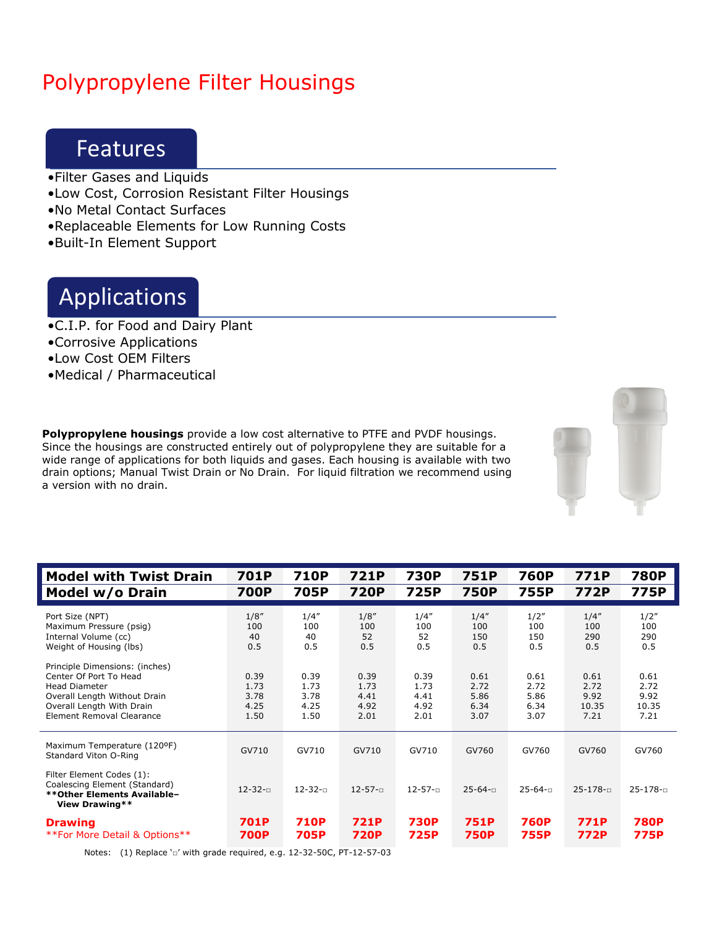# Polypropylene Filter Housings

### Features

- •Filter Gases and Liquids
- •Low Cost, Corrosion Resistant Filter Housings
- •No Metal Contact Surfaces
- •Replaceable Elements for Low Running Costs
- •Built-In Element Support

### Applications

- •C.I.P. for Food and Dairy Plant
- •Corrosive Applications
- •Low Cost OEM Filters
- •Medical / Pharmaceutical

**Polypropylene housings** provide a low cost alternative to PTFE and PVDF housings. Since the housings are constructed entirely out of polypropylene they are suitable for a wide range of applications for both liquids and gases. Each housing is available with two drain options; Manual Twist Drain or No Drain. For liquid filtration we recommend using a version with no drain.



| <b>Model with Twist Drain</b>                                                                                                                                              | 701P                                 | 710P                                 | 721P                                 | <b>730P</b>                          | 751P                                 | 760P                                 | 771P                                  | <b>780P</b>                           |
|----------------------------------------------------------------------------------------------------------------------------------------------------------------------------|--------------------------------------|--------------------------------------|--------------------------------------|--------------------------------------|--------------------------------------|--------------------------------------|---------------------------------------|---------------------------------------|
| Model w/o Drain                                                                                                                                                            | <b>700P</b>                          | 705P                                 | <b>720P</b>                          | <b>725P</b>                          | <b>750P</b>                          | 755P                                 | 772P                                  | 775P                                  |
| Port Size (NPT)                                                                                                                                                            | 1/8''                                | 1/4''                                | 1/8''                                | 1/4''                                | 1/4''                                | 1/2"                                 | 1/4''                                 | 1/2"                                  |
| Maximum Pressure (psig)                                                                                                                                                    | 100                                  | 100                                  | 100                                  | 100                                  | 100                                  | 100                                  | 100                                   | 100                                   |
| Internal Volume (cc)                                                                                                                                                       | 40                                   | 40                                   | 52                                   | 52                                   | 150                                  | 150                                  | 290                                   | 290                                   |
| Weight of Housing (lbs)                                                                                                                                                    | 0.5                                  | 0.5                                  | 0.5                                  | 0.5                                  | 0.5                                  | 0.5                                  | 0.5                                   | 0.5                                   |
| Principle Dimensions: (inches)<br>Center Of Port To Head<br><b>Head Diameter</b><br>Overall Length Without Drain<br>Overall Length With Drain<br>Element Removal Clearance | 0.39<br>1.73<br>3.78<br>4.25<br>1.50 | 0.39<br>1.73<br>3.78<br>4.25<br>1.50 | 0.39<br>1.73<br>4.41<br>4.92<br>2.01 | 0.39<br>1.73<br>4.41<br>4.92<br>2.01 | 0.61<br>2.72<br>5.86<br>6.34<br>3.07 | 0.61<br>2.72<br>5.86<br>6.34<br>3.07 | 0.61<br>2.72<br>9.92<br>10.35<br>7.21 | 0.61<br>2.72<br>9.92<br>10.35<br>7.21 |
| Maximum Temperature (120ºF)<br>Standard Viton O-Ring                                                                                                                       | GV710                                | GV710                                | GV710                                | GV710                                | GV760                                | GV760                                | GV760                                 | GV760                                 |
| Filter Element Codes (1):<br>Coalescing Element (Standard)<br>**Other Elements Available-<br>View Drawing**                                                                | $12 - 32 - 1$                        | $12 - 32 - 7$                        | $12 - 57 - 1$                        | $12 - 57 - n$                        | $25 - 64 - n$                        | $25 - 64 - n$                        | $25 - 178 - 1$                        | $25 - 178 - n$                        |
| <b>Drawing</b>                                                                                                                                                             | <b>701P</b>                          | <b>710P</b>                          | <b>721P</b>                          | <b>730P</b>                          | <b>751P</b>                          | <b>760P</b>                          | <b>771P</b>                           | <b>780P</b>                           |
| **For More Detail & Options**                                                                                                                                              | <b>700P</b>                          | 705P                                 | <b>720P</b>                          | <b>725P</b>                          | <b>750P</b>                          | <b>755P</b>                          | <b>772P</b>                           | <b>775P</b>                           |

Notes: (1) Replace '□' with grade required, e.g. 12-32-50C, PT-12-57-03